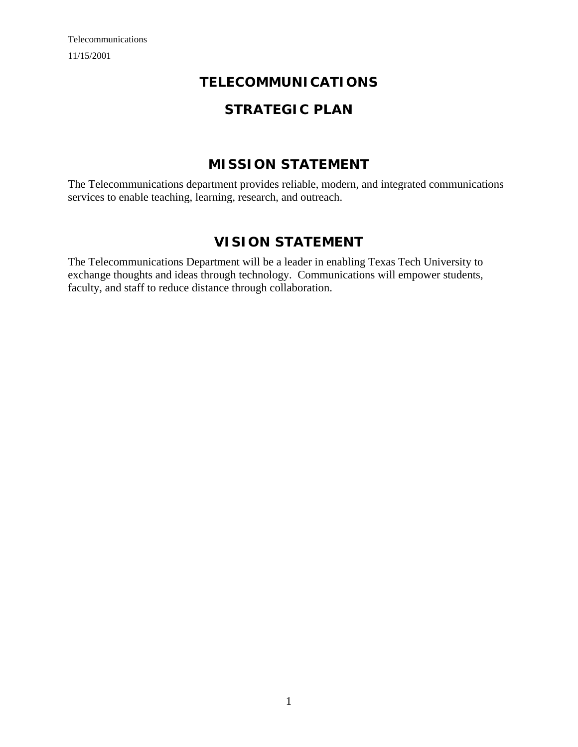# **TELECOMMUNICATIONS**

# **STRATEGIC PLAN**

# **MISSION STATEMENT**

The Telecommunications department provides reliable, modern, and integrated communications services to enable teaching, learning, research, and outreach.

# **VISION STATEMENT**

The Telecommunications Department will be a leader in enabling Texas Tech University to exchange thoughts and ideas through technology. Communications will empower students, faculty, and staff to reduce distance through collaboration.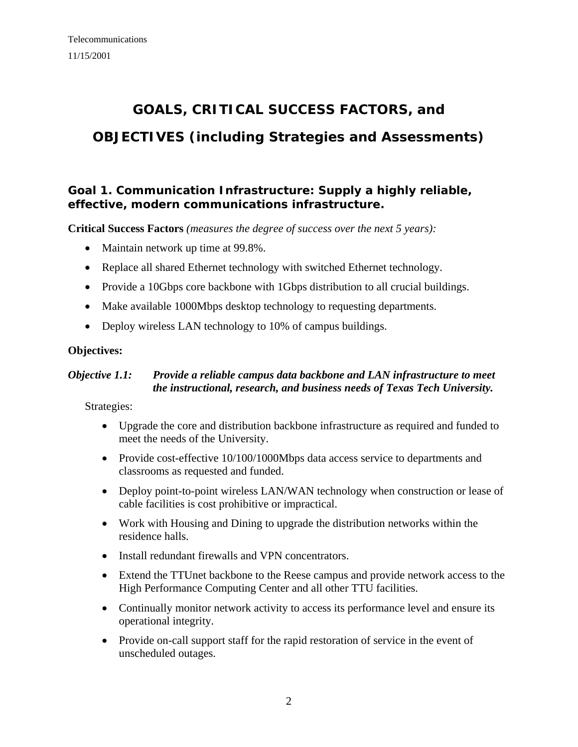# **GOALS, CRITICAL SUCCESS FACTORS, and OBJECTIVES (including Strategies and Assessments)**

# **Goal 1. Communication Infrastructure: Supply a highly reliable, effective, modern communications infrastructure.**

**Critical Success Factors** *(measures the degree of success over the next 5 years):*

- Maintain network up time at 99.8%.
- Replace all shared Ethernet technology with switched Ethernet technology.
- Provide a 10Gbps core backbone with 1Gbps distribution to all crucial buildings.
- Make available 1000Mbps desktop technology to requesting departments.
- Deploy wireless LAN technology to 10% of campus buildings.

#### **Objectives:**

#### *Objective 1.1: Provide a reliable campus data backbone and LAN infrastructure to meet the instructional, research, and business needs of Texas Tech University.*

- Upgrade the core and distribution backbone infrastructure as required and funded to meet the needs of the University.
- Provide cost-effective 10/100/1000Mbps data access service to departments and classrooms as requested and funded.
- Deploy point-to-point wireless LAN/WAN technology when construction or lease of cable facilities is cost prohibitive or impractical.
- Work with Housing and Dining to upgrade the distribution networks within the residence halls.
- Install redundant firewalls and VPN concentrators.
- Extend the TTUnet backbone to the Reese campus and provide network access to the High Performance Computing Center and all other TTU facilities.
- Continually monitor network activity to access its performance level and ensure its operational integrity.
- Provide on-call support staff for the rapid restoration of service in the event of unscheduled outages.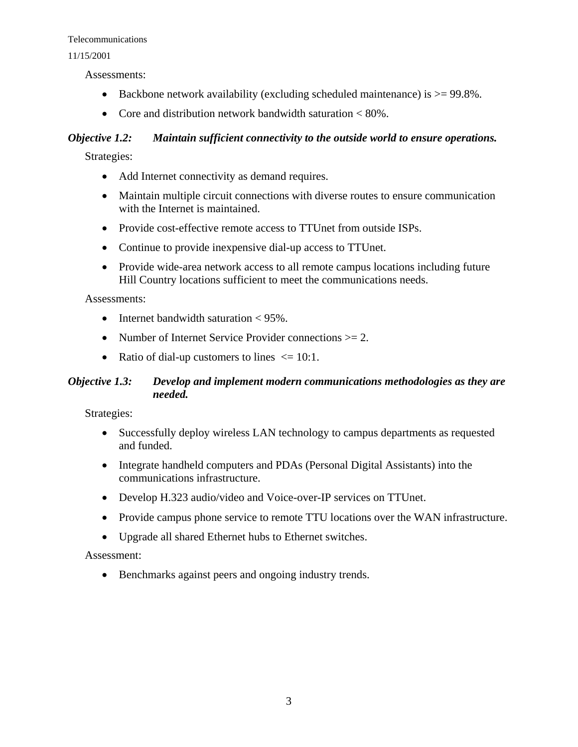#### 11/15/2001

Assessments:

- Backbone network availability (excluding scheduled maintenance) is  $>= 99.8\%$ .
- Core and distribution network bandwidth saturation  $\langle 80\% \rangle$ .

#### *Objective 1.2: Maintain sufficient connectivity to the outside world to ensure operations.*

Strategies:

- Add Internet connectivity as demand requires.
- Maintain multiple circuit connections with diverse routes to ensure communication with the Internet is maintained.
- Provide cost-effective remote access to TTUnet from outside ISPs.
- Continue to provide inexpensive dial-up access to TTUnet.
- Provide wide-area network access to all remote campus locations including future Hill Country locations sufficient to meet the communications needs.

#### Assessments:

- Internet bandwidth saturation  $\lt 95\%$ .
- Number of Internet Service Provider connections >= 2.
- Ratio of dial-up customers to lines  $\leq 10:1$ .

#### *Objective 1.3: Develop and implement modern communications methodologies as they are needed.*

Strategies:

- Successfully deploy wireless LAN technology to campus departments as requested and funded.
- Integrate handheld computers and PDAs (Personal Digital Assistants) into the communications infrastructure.
- Develop H.323 audio/video and Voice-over-IP services on TTUnet.
- Provide campus phone service to remote TTU locations over the WAN infrastructure.
- Upgrade all shared Ethernet hubs to Ethernet switches.

#### Assessment:

• Benchmarks against peers and ongoing industry trends.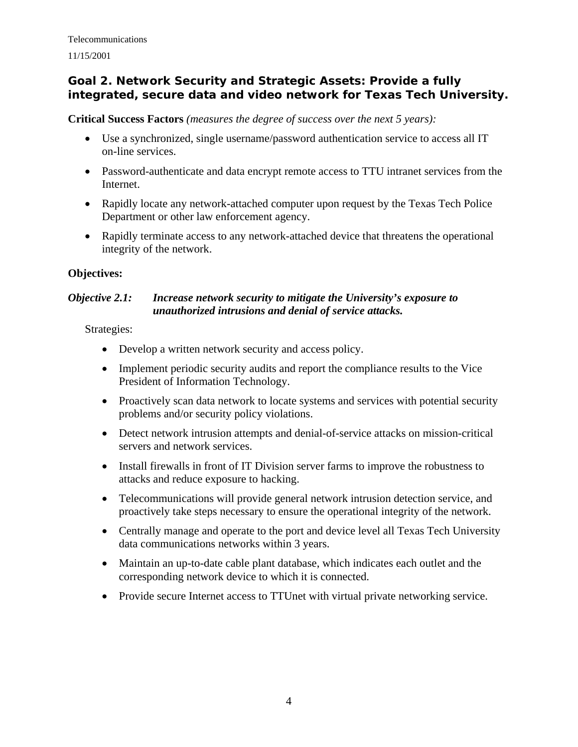## **Goal 2. Network Security and Strategic Assets: Provide a fully integrated, secure data and video network for Texas Tech University.**

**Critical Success Factors** *(measures the degree of success over the next 5 years):*

- Use a synchronized, single username/password authentication service to access all IT on-line services.
- Password-authenticate and data encrypt remote access to TTU intranet services from the Internet.
- Rapidly locate any network-attached computer upon request by the Texas Tech Police Department or other law enforcement agency.
- Rapidly terminate access to any network-attached device that threatens the operational integrity of the network.

#### **Objectives:**

#### *Objective 2.1: Increase network security to mitigate the University's exposure to unauthorized intrusions and denial of service attacks.*

- Develop a written network security and access policy.
- Implement periodic security audits and report the compliance results to the Vice President of Information Technology.
- Proactively scan data network to locate systems and services with potential security problems and/or security policy violations.
- Detect network intrusion attempts and denial-of-service attacks on mission-critical servers and network services.
- Install firewalls in front of IT Division server farms to improve the robustness to attacks and reduce exposure to hacking.
- Telecommunications will provide general network intrusion detection service, and proactively take steps necessary to ensure the operational integrity of the network.
- Centrally manage and operate to the port and device level all Texas Tech University data communications networks within 3 years.
- Maintain an up-to-date cable plant database, which indicates each outlet and the corresponding network device to which it is connected.
- Provide secure Internet access to TTUnet with virtual private networking service.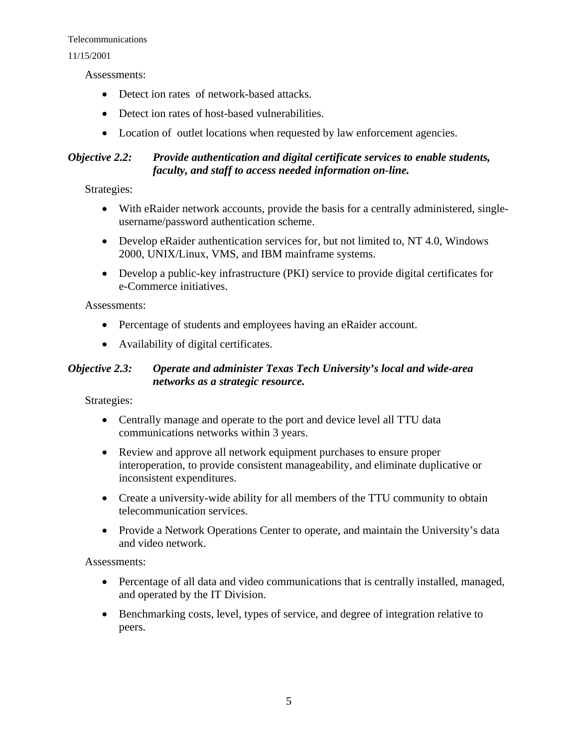#### 11/15/2001

Assessments:

- Detect ion rates of network-based attacks.
- Detect ion rates of host-based vulnerabilities.
- Location of outlet locations when requested by law enforcement agencies.

#### *Objective 2.2: Provide authentication and digital certificate services to enable students, faculty, and staff to access needed information on-line.*

Strategies:

- With eRaider network accounts, provide the basis for a centrally administered, singleusername/password authentication scheme.
- Develop eRaider authentication services for, but not limited to, NT 4.0, Windows 2000, UNIX/Linux, VMS, and IBM mainframe systems.
- Develop a public-key infrastructure (PKI) service to provide digital certificates for e-Commerce initiatives.

Assessments:

- Percentage of students and employees having an eRaider account.
- Availability of digital certificates.

#### *Objective 2.3: Operate and administer Texas Tech University's local and wide-area networks as a strategic resource.*

Strategies:

- Centrally manage and operate to the port and device level all TTU data communications networks within 3 years.
- Review and approve all network equipment purchases to ensure proper interoperation, to provide consistent manageability, and eliminate duplicative or inconsistent expenditures.
- Create a university-wide ability for all members of the TTU community to obtain telecommunication services.
- Provide a Network Operations Center to operate, and maintain the University's data and video network.

Assessments:

- Percentage of all data and video communications that is centrally installed, managed, and operated by the IT Division.
- Benchmarking costs, level, types of service, and degree of integration relative to peers.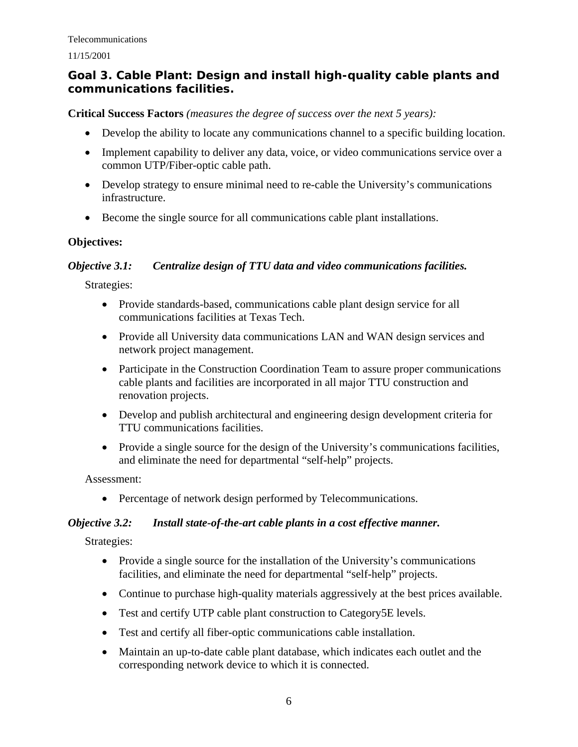# **Goal 3. Cable Plant: Design and install high-quality cable plants and communications facilities.**

**Critical Success Factors** *(measures the degree of success over the next 5 years):*

- Develop the ability to locate any communications channel to a specific building location.
- Implement capability to deliver any data, voice, or video communications service over a common UTP/Fiber-optic cable path.
- Develop strategy to ensure minimal need to re-cable the University's communications infrastructure.
- Become the single source for all communications cable plant installations.

#### **Objectives:**

#### *Objective 3.1: Centralize design of TTU data and video communications facilities.*

Strategies:

- Provide standards-based, communications cable plant design service for all communications facilities at Texas Tech.
- Provide all University data communications LAN and WAN design services and network project management.
- Participate in the Construction Coordination Team to assure proper communications cable plants and facilities are incorporated in all major TTU construction and renovation projects.
- Develop and publish architectural and engineering design development criteria for TTU communications facilities.
- Provide a single source for the design of the University's communications facilities, and eliminate the need for departmental "self-help" projects.

Assessment:

• Percentage of network design performed by Telecommunications.

## *Objective 3.2: Install state-of-the-art cable plants in a cost effective manner.*

- Provide a single source for the installation of the University's communications facilities, and eliminate the need for departmental "self-help" projects.
- Continue to purchase high-quality materials aggressively at the best prices available.
- Test and certify UTP cable plant construction to Category5E levels.
- Test and certify all fiber-optic communications cable installation.
- Maintain an up-to-date cable plant database, which indicates each outlet and the corresponding network device to which it is connected.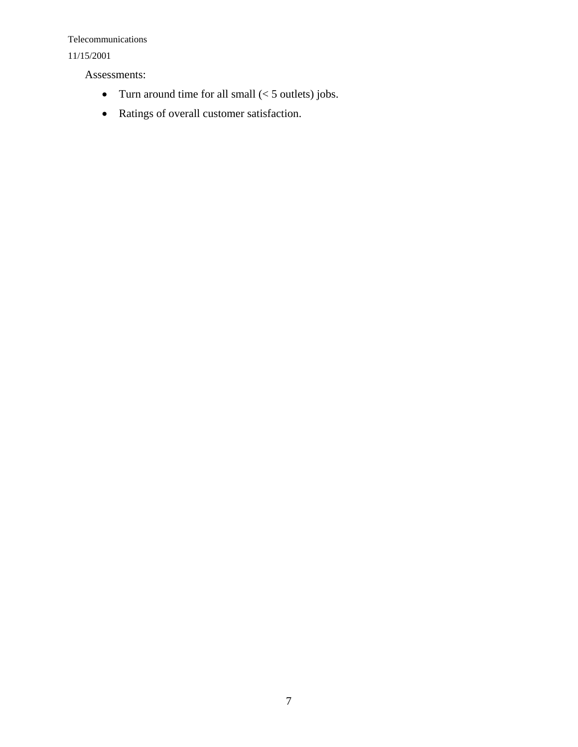#### 11/15/2001

Assessments:

- Turn around time for all small  $(< 5$  outlets) jobs.
- Ratings of overall customer satisfaction.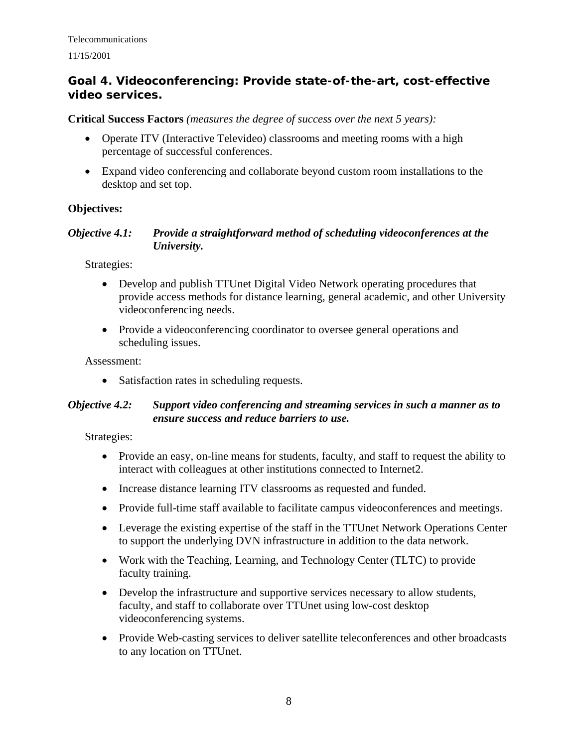# **Goal 4. Videoconferencing: Provide state-of-the-art, cost-effective video services.**

#### **Critical Success Factors** *(measures the degree of success over the next 5 years):*

- Operate ITV (Interactive Televideo) classrooms and meeting rooms with a high percentage of successful conferences.
- Expand video conferencing and collaborate beyond custom room installations to the desktop and set top.

## **Objectives:**

#### *Objective 4.1: Provide a straightforward method of scheduling videoconferences at the University.*

Strategies:

- Develop and publish TTUnet Digital Video Network operating procedures that provide access methods for distance learning, general academic, and other University videoconferencing needs.
- Provide a videoconferencing coordinator to oversee general operations and scheduling issues.

Assessment:

• Satisfaction rates in scheduling requests.

#### *Objective 4.2: Support video conferencing and streaming services in such a manner as to ensure success and reduce barriers to use.*

- Provide an easy, on-line means for students, faculty, and staff to request the ability to interact with colleagues at other institutions connected to Internet2.
- Increase distance learning ITV classrooms as requested and funded.
- Provide full-time staff available to facilitate campus videoconferences and meetings.
- Leverage the existing expertise of the staff in the TTUnet Network Operations Center to support the underlying DVN infrastructure in addition to the data network.
- Work with the Teaching, Learning, and Technology Center (TLTC) to provide faculty training.
- Develop the infrastructure and supportive services necessary to allow students, faculty, and staff to collaborate over TTUnet using low-cost desktop videoconferencing systems.
- Provide Web-casting services to deliver satellite teleconferences and other broadcasts to any location on TTUnet.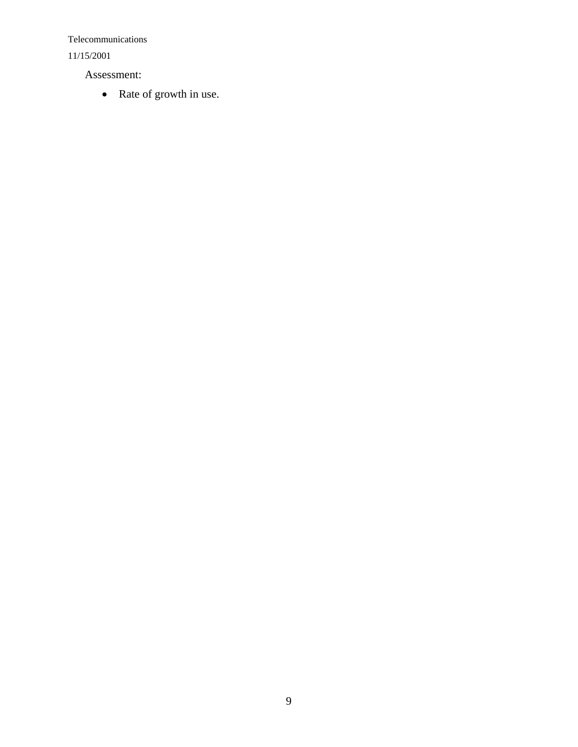11/15/2001

Assessment:

• Rate of growth in use.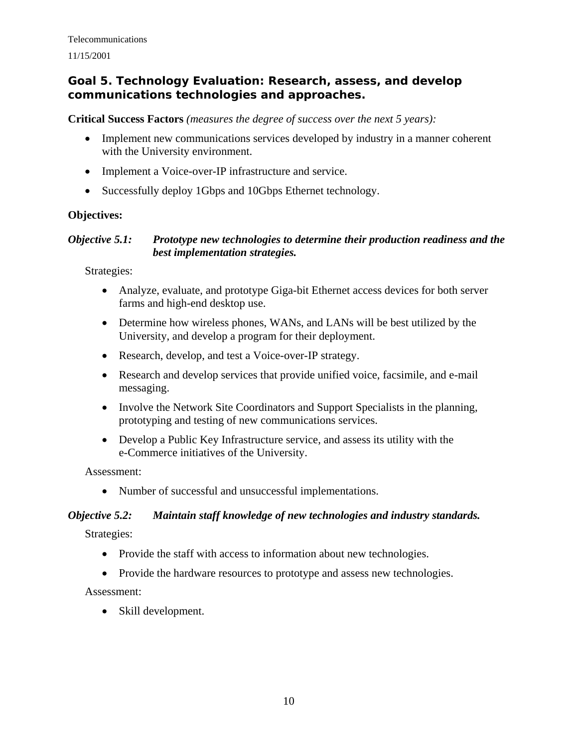## **Goal 5. Technology Evaluation: Research, assess, and develop communications technologies and approaches.**

**Critical Success Factors** *(measures the degree of success over the next 5 years):*

- Implement new communications services developed by industry in a manner coherent with the University environment.
- Implement a Voice-over-IP infrastructure and service.
- Successfully deploy 1Gbps and 10Gbps Ethernet technology.

#### **Objectives:**

#### *Objective 5.1: Prototype new technologies to determine their production readiness and the best implementation strategies.*

Strategies:

- Analyze, evaluate, and prototype Giga-bit Ethernet access devices for both server farms and high-end desktop use.
- Determine how wireless phones, WANs, and LANs will be best utilized by the University, and develop a program for their deployment.
- Research, develop, and test a Voice-over-IP strategy.
- Research and develop services that provide unified voice, facsimile, and e-mail messaging.
- Involve the Network Site Coordinators and Support Specialists in the planning, prototyping and testing of new communications services.
- Develop a Public Key Infrastructure service, and assess its utility with the e-Commerce initiatives of the University.

Assessment:

• Number of successful and unsuccessful implementations.

#### *Objective 5.2: Maintain staff knowledge of new technologies and industry standards.*

Strategies:

- Provide the staff with access to information about new technologies.
- Provide the hardware resources to prototype and assess new technologies.

Assessment:

• Skill development.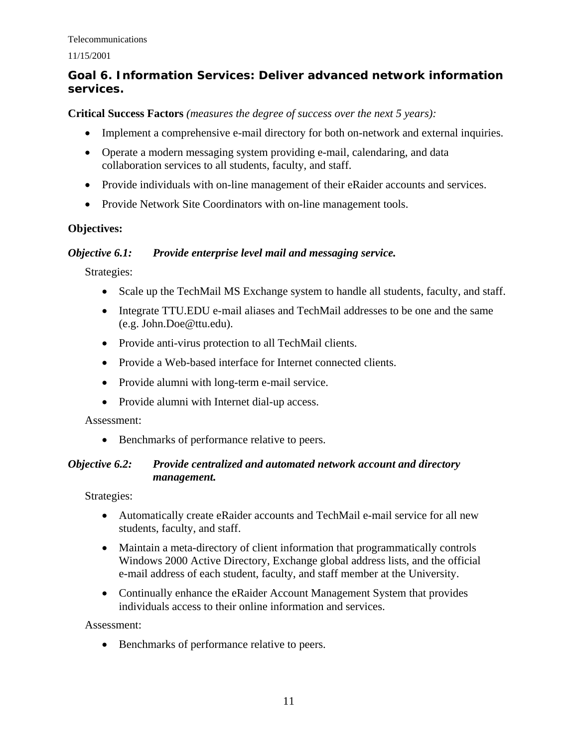#### 11/15/2001

# **Goal 6. Information Services: Deliver advanced network information services.**

#### **Critical Success Factors** *(measures the degree of success over the next 5 years):*

- Implement a comprehensive e-mail directory for both on-network and external inquiries.
- Operate a modern messaging system providing e-mail, calendaring, and data collaboration services to all students, faculty, and staff.
- Provide individuals with on-line management of their eRaider accounts and services.
- Provide Network Site Coordinators with on-line management tools.

#### **Objectives:**

#### *Objective 6.1: Provide enterprise level mail and messaging service.*

Strategies:

- Scale up the TechMail MS Exchange system to handle all students, faculty, and staff.
- Integrate TTU.EDU e-mail aliases and TechMail addresses to be one and the same (e.g. John.Doe@ttu.edu).
- Provide anti-virus protection to all TechMail clients.
- Provide a Web-based interface for Internet connected clients.
- Provide alumni with long-term e-mail service.
- Provide alumni with Internet dial-up access.

#### Assessment:

• Benchmarks of performance relative to peers.

#### *Objective 6.2: Provide centralized and automated network account and directory management.*

Strategies:

- Automatically create eRaider accounts and TechMail e-mail service for all new students, faculty, and staff.
- Maintain a meta-directory of client information that programmatically controls Windows 2000 Active Directory, Exchange global address lists, and the official e-mail address of each student, faculty, and staff member at the University.
- Continually enhance the eRaider Account Management System that provides individuals access to their online information and services.

#### Assessment:

• Benchmarks of performance relative to peers.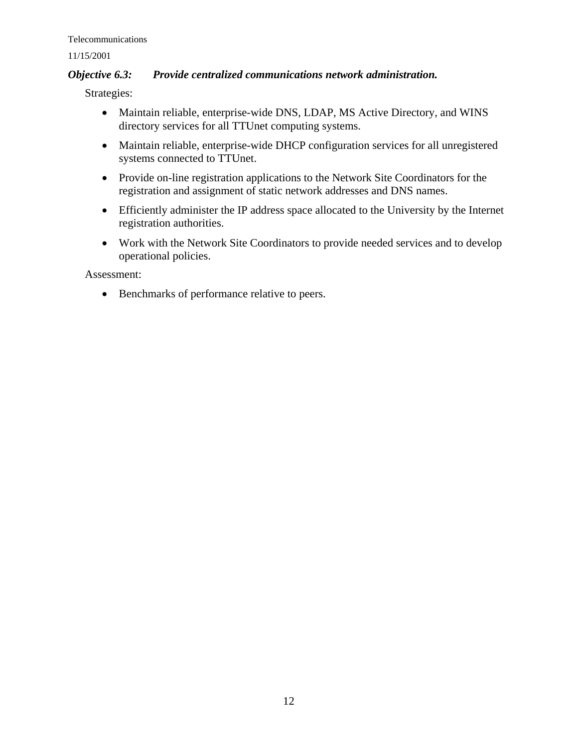#### *Objective 6.3: Provide centralized communications network administration.*

Strategies:

- Maintain reliable, enterprise-wide DNS, LDAP, MS Active Directory, and WINS directory services for all TTUnet computing systems.
- Maintain reliable, enterprise-wide DHCP configuration services for all unregistered systems connected to TTUnet.
- Provide on-line registration applications to the Network Site Coordinators for the registration and assignment of static network addresses and DNS names.
- Efficiently administer the IP address space allocated to the University by the Internet registration authorities.
- Work with the Network Site Coordinators to provide needed services and to develop operational policies.

Assessment:

• Benchmarks of performance relative to peers.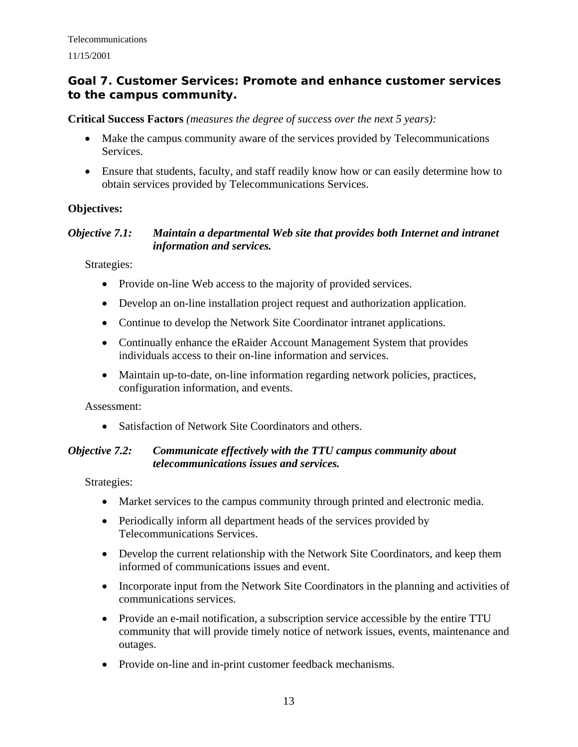# **Goal 7. Customer Services: Promote and enhance customer services to the campus community.**

**Critical Success Factors** *(measures the degree of success over the next 5 years):*

- Make the campus community aware of the services provided by Telecommunications Services.
- Ensure that students, faculty, and staff readily know how or can easily determine how to obtain services provided by Telecommunications Services.

## **Objectives:**

#### *Objective 7.1: Maintain a departmental Web site that provides both Internet and intranet information and services.*

Strategies:

- Provide on-line Web access to the majority of provided services.
- Develop an on-line installation project request and authorization application.
- Continue to develop the Network Site Coordinator intranet applications.
- Continually enhance the eRaider Account Management System that provides individuals access to their on-line information and services.
- Maintain up-to-date, on-line information regarding network policies, practices, configuration information, and events.

Assessment:

• Satisfaction of Network Site Coordinators and others.

#### *Objective 7.2: Communicate effectively with the TTU campus community about telecommunications issues and services.*

- Market services to the campus community through printed and electronic media.
- Periodically inform all department heads of the services provided by Telecommunications Services.
- Develop the current relationship with the Network Site Coordinators, and keep them informed of communications issues and event.
- Incorporate input from the Network Site Coordinators in the planning and activities of communications services.
- Provide an e-mail notification, a subscription service accessible by the entire TTU community that will provide timely notice of network issues, events, maintenance and outages.
- Provide on-line and in-print customer feedback mechanisms.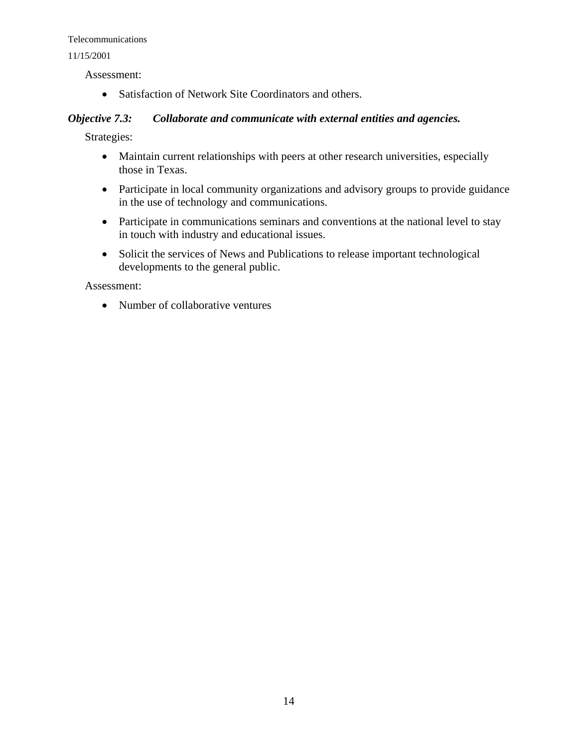#### 11/15/2001

Assessment:

• Satisfaction of Network Site Coordinators and others.

#### *Objective 7.3: Collaborate and communicate with external entities and agencies.*

Strategies:

- Maintain current relationships with peers at other research universities, especially those in Texas.
- Participate in local community organizations and advisory groups to provide guidance in the use of technology and communications.
- Participate in communications seminars and conventions at the national level to stay in touch with industry and educational issues.
- Solicit the services of News and Publications to release important technological developments to the general public.

Assessment:

• Number of collaborative ventures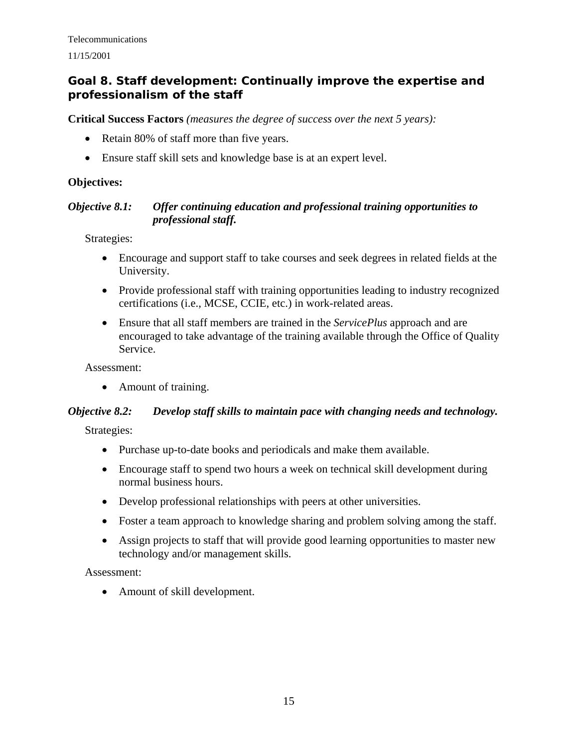# **Goal 8. Staff development: Continually improve the expertise and professionalism of the staff**

**Critical Success Factors** *(measures the degree of success over the next 5 years):*

- Retain 80% of staff more than five years.
- Ensure staff skill sets and knowledge base is at an expert level.

#### **Objectives:**

#### *Objective 8.1: Offer continuing education and professional training opportunities to professional staff.*

Strategies:

- Encourage and support staff to take courses and seek degrees in related fields at the University.
- Provide professional staff with training opportunities leading to industry recognized certifications (i.e., MCSE, CCIE, etc.) in work-related areas.
- Ensure that all staff members are trained in the *ServicePlus* approach and are encouraged to take advantage of the training available through the Office of Quality Service.

Assessment:

• Amount of training.

# *Objective 8.2: Develop staff skills to maintain pace with changing needs and technology.*

Strategies:

- Purchase up-to-date books and periodicals and make them available.
- Encourage staff to spend two hours a week on technical skill development during normal business hours.
- Develop professional relationships with peers at other universities.
- Foster a team approach to knowledge sharing and problem solving among the staff.
- Assign projects to staff that will provide good learning opportunities to master new technology and/or management skills.

Assessment:

• Amount of skill development.